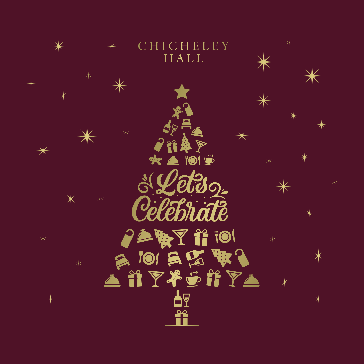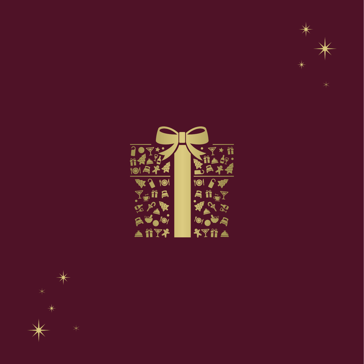



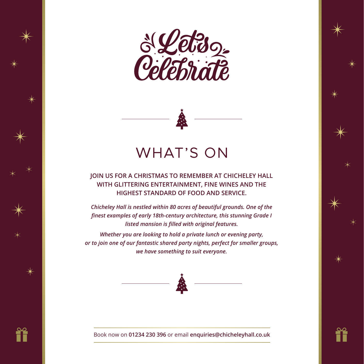



### WHAT'S ON

**JOIN US FOR A CHRISTMAS TO REMEMBER AT CHICHELEY HALL WITH GLITTERING ENTERTAINMENT, FINE WINES AND THE HIGHEST STANDARD OF FOOD AND SERVICE.**

*Chicheley Hall is nestled within 80 acres of beautiful grounds. One of the finest examples of early 18th-century architecture, this stunning Grade I listed mansion is filled with original features.* 

*Whether you are looking to hold a private lunch or evening party, or to join one of our fantastic shared party nights, perfect for smaller groups, we have something to suit everyone.*

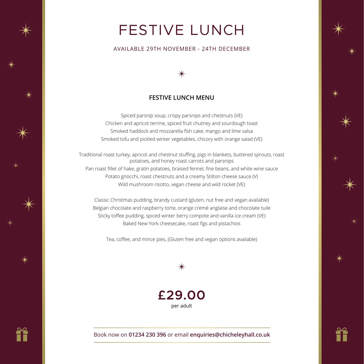# FESTIVE LUNCH

#### AVAILABLE 29TH NOVEMBER - 24TH DECEMBER

### **FESTIVE LUNCH MENU**

Spiced parsnip soup, crispy parsnips and chestnuts (VE) Chicken and apricot terrine, spiced fruit chutney and sourdough toast Smoked haddock and mozzarella fish cake, mango and lime salsa Smoked tofu and pickled winter vegetables, chicory with orange salad (VE)

Traditional roast turkey, apricot and chestnut stuffing, pigs in blankets, buttered sprouts, roast potatoes, and honey roast carrots and parsnips Pan roast fillet of hake, gratin potatoes, braised fennel, fine beans, and white wine sauce Potato gnocchi, roast chestnuts and a creamy Stilton cheese sauce (V) Wild mushroom risotto, vegan cheese and wild rocket (VE)

Classic Christmas pudding, brandy custard (gluten, nut free and vegan available) Belgian chocolate and raspberry torte, orange cremé anglaise and chocolate tuile Sticky toffee pudding, spiced winter berry compote and vanilla ice cream (VE) Baked New York cheesecake, roast figs and pistachios

Tea, coffee, and mince pies, (Gluten free and vegan options available)

### **£29.00** per adult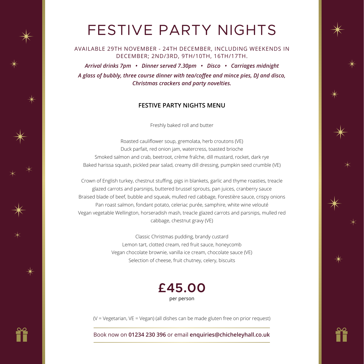# FESTIVE PARTY NIGHTS

AVAILABLE 29TH NOVEMBER - 24TH DECEMBER, INCLUDING WEEKENDS IN DECEMBER; 2ND/3RD, 9TH/10TH, 16TH/17TH.

*Arrival drinks 7pm • Dinner served 7.30pm • Disco • Carriages midnight A glass of bubbly, three course dinner with tea/coffee and mince pies, DJ and disco, Christmas crackers and party novelties.*

### **FESTIVE PARTY NIGHTS MENU**

Freshly baked roll and butter

Roasted cauliflower soup, gremolata, herb croutons (VE) Duck parfait, red onion jam, watercress, toasted brioche Smoked salmon and crab, beetroot, crème fraîche, dill mustard, rocket, dark rye Baked harissa squash, pickled pear salad, creamy dill dressing, pumpkin seed crumble (VE)

Crown of English turkey, chestnut stuffing, pigs in blankets, garlic and thyme roasties, treacle glazed carrots and parsnips, buttered brussel sprouts, pan juices, cranberry sauce Braised blade of beef, bubble and squeak, mulled red cabbage, Forestière sauce, crispy onions Pan roast salmon, fondant potato, celeriac purée, samphire, white wine velouté Vegan vegetable Wellington, horseradish mash, treacle glazed carrots and parsnips, mulled red cabbage, chestnut gravy (VE)

> Classic Christmas pudding, brandy custard Lemon tart, clotted cream, red fruit sauce, honeycomb Vegan chocolate brownie, vanilla ice cream, chocolate sauce (VE) Selection of cheese, fruit chutney, celery, biscuits



 $(V = V<sub>egetarian</sub>, VE = V<sub>egan</sub>)$  (all dishes can be made gluten free on prior request)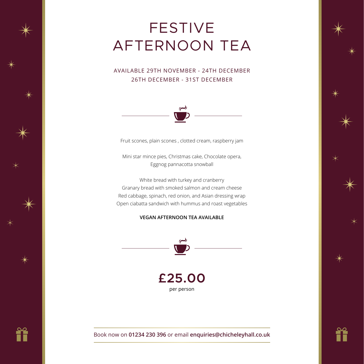# FESTIVE AFTERNOON TEA

### AVAILABLE 29TH NOVEMBER - 24TH DECEMBER 26TH DECEMBER - 31ST DECEMBER



Fruit scones, plain scones , clotted cream, raspberry jam

Mini star mince pies, Christmas cake, Chocolate opera, Eggnog pannacotta snowball

White bread with turkey and cranberry Granary bread with smoked salmon and cream cheese Red cabbage, spinach, red onion, and Asian dressing wrap Open ciabatta sandwich with hummus and roast vegetables

#### **VEGAN AFTERNOON TEA AVAILABLE**

**£25.00**

per person

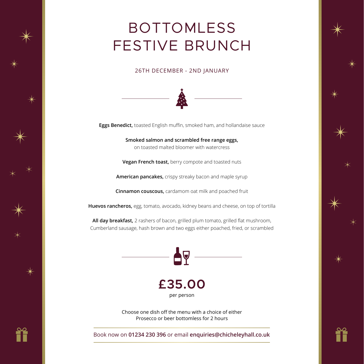# BOTTOMLESS FESTIVE BRUNCH

#### 26TH DECEMBER - 2ND JANUARY



**Eggs Benedict,** toasted English muffin, smoked ham, and hollandaise sauce

**Smoked salmon and scrambled free range eggs,** on toasted malted bloomer with watercress

**Vegan French toast,** berry compote and toasted nuts

**American pancakes,** crispy streaky bacon and maple syrup

**Cinnamon couscous,** cardamom oat milk and poached fruit

**Huevos rancheros,** egg, tomato, avocado, kidney beans and cheese, on top of tortilla

**All day breakfast,** 2 rashers of bacon, grilled plum tomato, grilled flat mushroom, Cumberland sausage, hash brown and two eggs either poached, fried, or scrambled



Choose one dish off the menu with a choice of either Prosecco or beer bottomless for 2 hours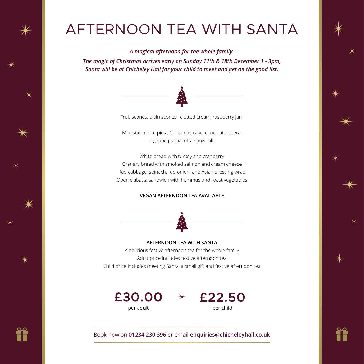## AFTERNOON TEA WITH SANTA

*A magical afternoon for the whole family. The magic of Christmas arrives early on Sunday 11th & 18th December 1 - 3pm, Santa will be at Chicheley Hall for your child to meet and get on the good list.*



Fruit scones, plain scones , clotted cream, raspberry jam

Mini star mince pies , Christmas cake, chocolate opera, eggnog pannacotta snowball

White bread with turkey and cranberry Granary bread with smoked salmon and cream cheese Red cabbage, spinach, red onion, and Asian dressing wrap Open ciabatta sandwich with hummus and roast vegetables

#### **VEGAN AFTERNOON TEA AVAILABLE**



#### **AFTERNOON TEA WITH SANTA**

A delicious festive afternoon tea for the whole family Adult price includes festive afternoon tea Child price includes meeting Santa, a small gift and festive afternoon tea

**£30.00** per adult

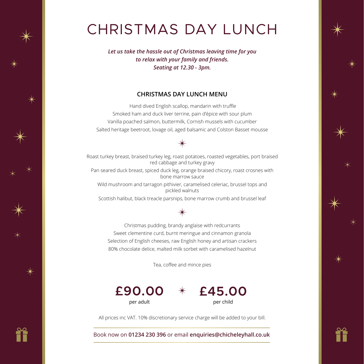# CHRISTMAS DAY LUNCH

*Let us take the hassle out of Christmas leaving time for you to relax with your family and friends. Seating at 12.30 - 3pm.*

### **CHRISTMAS DAY LUNCH MENU**

 Hand dived English scallop, mandarin with truffle Smoked ham and duck liver terrine, pain d'épice with sour plum Vanilla poached salmon, buttermilk, Cornish mussels with cucumber Salted heritage beetroot, lovage oil, aged balsamic and Colston Basset mousse

Roast turkey breast, braised turkey leg, roast potatoes, roasted vegetables, port braised red cabbage and turkey gravy Pan seared duck breast, spiced duck leg, orange braised chicory, roast crosnes with bone marrow sauce Wild mushroom and tarragon pithivier, caramelised celeriac, brussel tops and pickled walnuts

Scottish halibut, black treacle parsnips, bone marrow crumb and brussel leaf

Christmas pudding, brandy anglaise with redcurrants Sweet clementine curd, burnt meringue and cinnamon granola Selection of English cheeses, raw English honey and artisan crackers 80% chocolate delice, malted milk sorbet with caramelised hazelnut

Tea, coffee and mince pies

per adult



All prices inc VAT. 10% discretionary service charge will be added to your bill.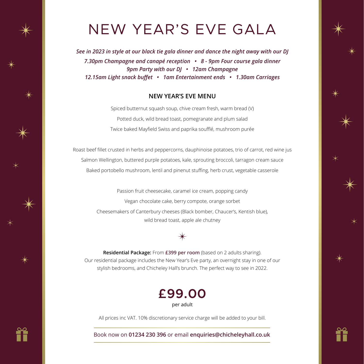### NEW YEAR'S EVE GALA

*See in 2023 in style at our black tie gala dinner and dance the night away with our DJ 7.30pm Champagne and canapé reception • 8 - 9pm Four course gala dinner 9pm Party with our DJ • 12am Champagne 12.15am Light snack buffet • 1am Entertainment ends • 1.30am Carriages*

#### **NEW YEAR'S EVE MENU**

Spiced butternut squash soup, chive cream fresh, warm bread (V) Potted duck, wild bread toast, pomegranate and plum salad Twice baked Mayfield Swiss and paprika soufflé, mushroom purée

Roast beef fillet crusted in herbs and peppercorns, dauphinoise potatoes, trio of carrot, red wine jus Salmon Wellington, buttered purple potatoes, kale, sprouting broccoli, tarragon cream sauce Baked portobello mushroom, lentil and pinenut stuffing, herb crust, vegetable casserole

> Passion fruit cheesecake, caramel ice cream, popping candy Vegan chocolate cake, berry compote, orange sorbet Cheesemakers of Canterbury cheeses (Black bomber, Chaucer's, Kentish blue), wild bread toast, apple ale chutney

**Residential Package:** From **£399 per room** (based on 2 adults sharing). Our residential package includes the New Year's Eve party, an overnight stay in one of our stylish bedrooms, and Chicheley Hall's brunch. The perfect way to see in 2022.

### **£99.00** per adult

All prices inc VAT. 10% discretionary service charge will be added to your bill.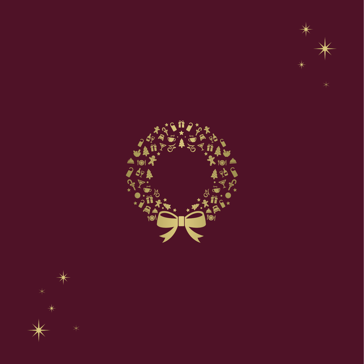